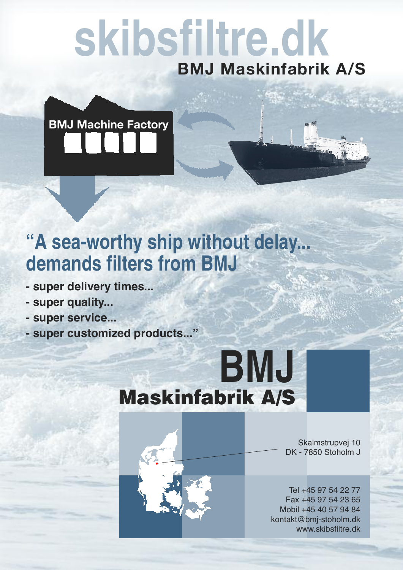# **skibsfiltre.dk BMJ Maskinfabrik A/S**

**BMJ Machine Factory**

## **"A sea-worthy ship without delay... demands filters from BMJ**

- **- super delivery times...**
- **- super quality...**
- **- super service...**
- **- super customized products..."**

## **BMJ Maskinfabrik A/S**



Skalmstrupvej 10 DK - 7850 Stoholm J

Tel +45 97 54 22 77 Fax +45 97 54 23 65 Mobil +45 40 57 94 84 kontakt@bmj-stoholm.dk www.skibsfiltre.dk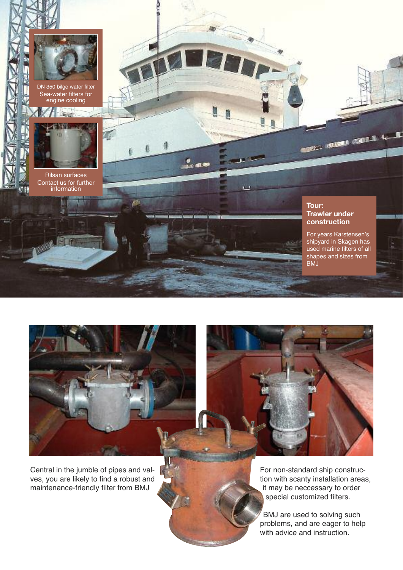

DN 350 bilge water filter Sea-water filters for engine cooling



Rilsan surfaces Contact us for further information

#### **Tour: Trawler under construction**

**COLLEGE COLLEGE** 

For years Karstensen's shipyard in Skagen has used marine filters of all shapes and sizes from BMJ



 $1.48$ 

w

Central in the jumble of pipes and valves, you are likely to find a robust and maintenance-friendly filter from BMJ



For non-standard ship construction with scanty installation areas, it may be neccessary to order special customized filters.

BMJ are used to solving such problems, and are eager to help with advice and instruction.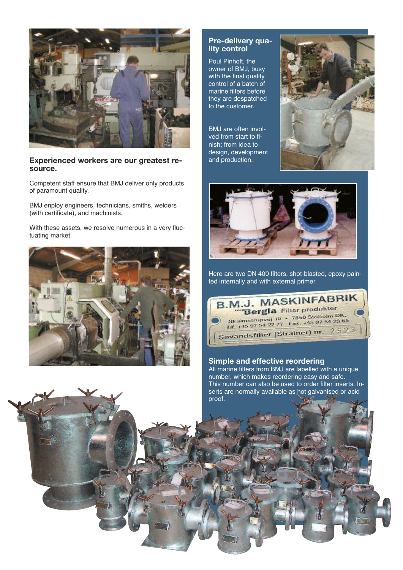

#### **Experienced workers are our greatest resource.**

Competent staff ensure that BMJ deliver only products of paramount quality.

BMJ enploy engineers, technicians, smiths, welders (with certificate), and machinists.

With these assets, we resolve numerous in a very fluctuating market.



#### **Pre-delivery quality control**

Poul Pinholt, the owner of BMJ, busy with the final quality control of a batch of marine filters before they are despatched to the customer.

BMJ are often involved from start to finish; from idea to design, development and production.





Here are two DN 400 filters, shot-blasted, epoxy painted internally and with external primer.



#### **Simple and effective reordering**

All marine filters from BMJ are labelled with a unique number, which makes reordering easy and safe. This number can also be used to order filter inserts. Inserts are normally available as hot galvanised or acid proof.